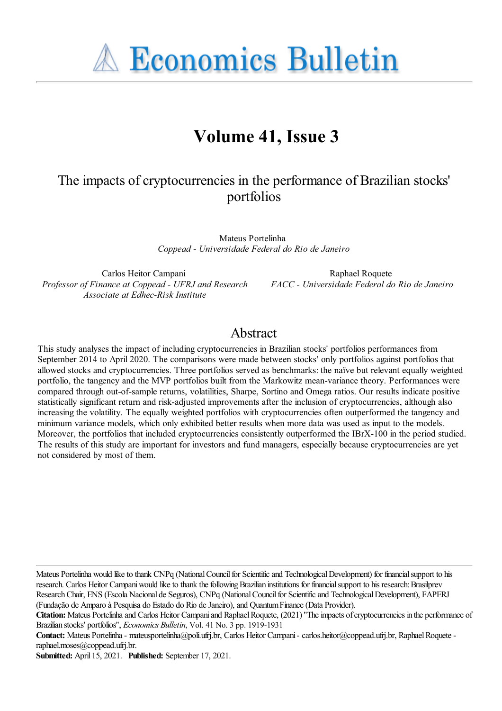**A Economics Bulletin** 

# **Volume 41, Issue 3**

# The impacts of cryptocurrencies in the performance of Brazilian stocks' portfolios

Mateus Portelinha *Coppead - Universidade Federal do Rio de Janeiro*

Carlos Heitor Campani *Professor of Finance at Coppead - UFRJ and Research Associate at Edhec-Risk Institute*

Raphael Roquete *FACC - Universidade Federal do Rio de Janeiro*

# Abstract

This study analyses the impact of including cryptocurrencies in Brazilian stocks' portfolios performances from September 2014 to April 2020. The comparisons were made between stocks' only portfolios against portfolios that allowed stocks and cryptocurrencies. Three portfolios served as benchmarks: the naïve but relevant equally weighted portfolio, the tangency and the MVP portfolios built from the Markowitz mean-variance theory. Performances were compared through out-of-sample returns, volatilities, Sharpe, Sortino and Omega ratios. Our results indicate positive statistically significant return and risk-adjusted improvements after the inclusion of cryptocurrencies, although also increasing the volatility. The equally weighted portfolios with cryptocurrencies often outperformed the tangency and minimum variance models, which only exhibited better results when more data was used as input to the models. Moreover, the portfolios that included cryptocurrencies consistently outperformed the IBrX-100 in the period studied. The results of this study are important for investors and fund managers, especially because cryptocurrencies are yet not considered by most of them.

Mateus Portelinha would like to thank CNPq (National Council for Scientific and Technological Development) for financial support to his research. Carlos Heitor Campani would like to thank the following Brazilian institutions for financial support to his research: Brasilprev ResearchChair, ENS (Escola Nacional de Seguros), CNPq (NationalCouncilfor Scientificand TechnologicalDevelopment), FAPERJ (Fundação de Amparo à Pesquisa do Estado do Rio deJaneiro),and QuantumFinance(Data Provider).

**Submitted:** April 15, 2021. **Published:** September 17, 2021.

**Citation:** Mateus Portelinha and Carlos Heitor Campani and Raphael Roquete, (2021) "The impacts of cryptocurrencies in the performance of Brazilian stocks' portfolios'', *Economics Bulletin*, Vol. 41 No. 3 pp. 1919-1931

**Contact:** Mateus Portelinha- mateusportelinha@poli.ufrj.br, Carlos Heitor Campani- carlos.heitor@coppead.ufrj.br, RaphaelRoqueteraphael.moses@coppead.ufrj.br.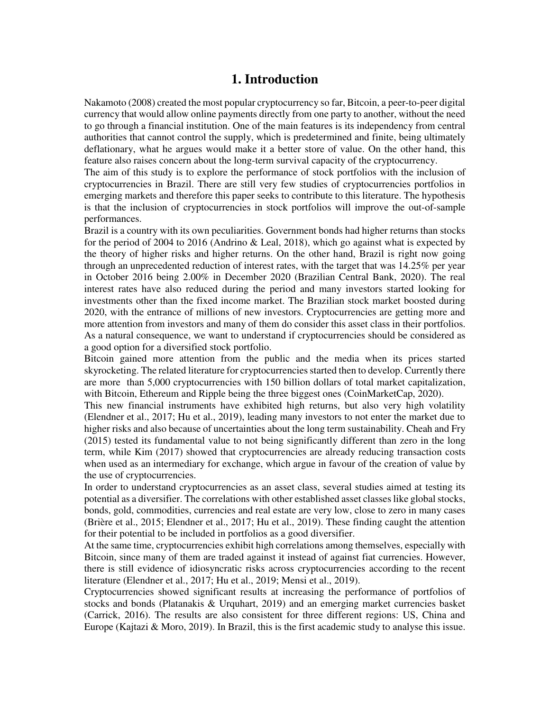# **1. Introduction**

Nakamoto (2008) created the most popular cryptocurrency so far, Bitcoin, a peer-to-peer digital currency that would allow online payments directly from one party to another, without the need to go through a financial institution. One of the main features is its independency from central authorities that cannot control the supply, which is predetermined and finite, being ultimately deflationary, what he argues would make it a better store of value. On the other hand, this feature also raises concern about the long-term survival capacity of the cryptocurrency.

The aim of this study is to explore the performance of stock portfolios with the inclusion of cryptocurrencies in Brazil. There are still very few studies of cryptocurrencies portfolios in emerging markets and therefore this paper seeks to contribute to this literature. The hypothesis is that the inclusion of cryptocurrencies in stock portfolios will improve the out-of-sample performances.

Brazil is a country with its own peculiarities. Government bonds had higher returns than stocks for the period of 2004 to 2016 (Andrino & Leal, 2018), which go against what is expected by the theory of higher risks and higher returns. On the other hand, Brazil is right now going through an unprecedented reduction of interest rates, with the target that was 14.25% per year in October 2016 being 2.00% in December 2020 (Brazilian Central Bank, 2020). The real interest rates have also reduced during the period and many investors started looking for investments other than the fixed income market. The Brazilian stock market boosted during 2020, with the entrance of millions of new investors. Cryptocurrencies are getting more and more attention from investors and many of them do consider this asset class in their portfolios. As a natural consequence, we want to understand if cryptocurrencies should be considered as a good option for a diversified stock portfolio.

Bitcoin gained more attention from the public and the media when its prices started skyrocketing. The related literature for cryptocurrencies started then to develop. Currently there are more than 5,000 cryptocurrencies with 150 billion dollars of total market capitalization, with Bitcoin, Ethereum and Ripple being the three biggest ones (CoinMarketCap, 2020).

This new financial instruments have exhibited high returns, but also very high volatility (Elendner et al., 2017; Hu et al., 2019), leading many investors to not enter the market due to higher risks and also because of uncertainties about the long term sustainability. Cheah and Fry (2015) tested its fundamental value to not being significantly different than zero in the long term, while Kim (2017) showed that cryptocurrencies are already reducing transaction costs when used as an intermediary for exchange, which argue in favour of the creation of value by the use of cryptocurrencies.

In order to understand cryptocurrencies as an asset class, several studies aimed at testing its potential as a diversifier. The correlations with other established asset classes like global stocks, bonds, gold, commodities, currencies and real estate are very low, close to zero in many cases (Brière et al., 2015; Elendner et al., 2017; Hu et al., 2019). These finding caught the attention for their potential to be included in portfolios as a good diversifier.

At the same time, cryptocurrencies exhibit high correlations among themselves, especially with Bitcoin, since many of them are traded against it instead of against fiat currencies. However, there is still evidence of idiosyncratic risks across cryptocurrencies according to the recent literature (Elendner et al., 2017; Hu et al., 2019; Mensi et al., 2019).

Cryptocurrencies showed significant results at increasing the performance of portfolios of stocks and bonds (Platanakis & Urquhart, 2019) and an emerging market currencies basket (Carrick, 2016). The results are also consistent for three different regions: US, China and Europe (Kajtazi & Moro, 2019). In Brazil, this is the first academic study to analyse this issue.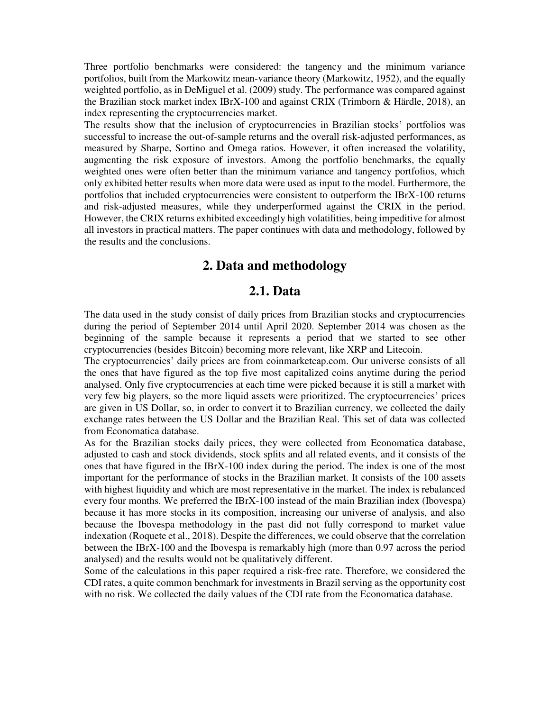Three portfolio benchmarks were considered: the tangency and the minimum variance portfolios, built from the Markowitz mean-variance theory (Markowitz, 1952), and the equally weighted portfolio, as in DeMiguel et al. (2009) study. The performance was compared against the Brazilian stock market index IBrX-100 and against CRIX (Trimborn & Härdle, 2018), an index representing the cryptocurrencies market.

The results show that the inclusion of cryptocurrencies in Brazilian stocks' portfolios was successful to increase the out-of-sample returns and the overall risk-adjusted performances, as measured by Sharpe, Sortino and Omega ratios. However, it often increased the volatility, augmenting the risk exposure of investors. Among the portfolio benchmarks, the equally weighted ones were often better than the minimum variance and tangency portfolios, which only exhibited better results when more data were used as input to the model. Furthermore, the portfolios that included cryptocurrencies were consistent to outperform the IBrX-100 returns and risk-adjusted measures, while they underperformed against the CRIX in the period. However, the CRIX returns exhibited exceedingly high volatilities, being impeditive for almost all investors in practical matters. The paper continues with data and methodology, followed by the results and the conclusions.

# **2. Data and methodology**

### **2.1. Data**

The data used in the study consist of daily prices from Brazilian stocks and cryptocurrencies during the period of September 2014 until April 2020. September 2014 was chosen as the beginning of the sample because it represents a period that we started to see other cryptocurrencies (besides Bitcoin) becoming more relevant, like XRP and Litecoin.

The cryptocurrencies' daily prices are from coinmarketcap.com. Our universe consists of all the ones that have figured as the top five most capitalized coins anytime during the period analysed. Only five cryptocurrencies at each time were picked because it is still a market with very few big players, so the more liquid assets were prioritized. The cryptocurrencies' prices are given in US Dollar, so, in order to convert it to Brazilian currency, we collected the daily exchange rates between the US Dollar and the Brazilian Real. This set of data was collected from Economatica database.

As for the Brazilian stocks daily prices, they were collected from Economatica database, adjusted to cash and stock dividends, stock splits and all related events, and it consists of the ones that have figured in the IBrX-100 index during the period. The index is one of the most important for the performance of stocks in the Brazilian market. It consists of the 100 assets with highest liquidity and which are most representative in the market. The index is rebalanced every four months. We preferred the IBrX-100 instead of the main Brazilian index (Ibovespa) because it has more stocks in its composition, increasing our universe of analysis, and also because the Ibovespa methodology in the past did not fully correspond to market value indexation (Roquete et al., 2018). Despite the differences, we could observe that the correlation between the IBrX-100 and the Ibovespa is remarkably high (more than 0.97 across the period analysed) and the results would not be qualitatively different.

Some of the calculations in this paper required a risk-free rate. Therefore, we considered the CDI rates, a quite common benchmark for investments in Brazil serving as the opportunity cost with no risk. We collected the daily values of the CDI rate from the Economatica database.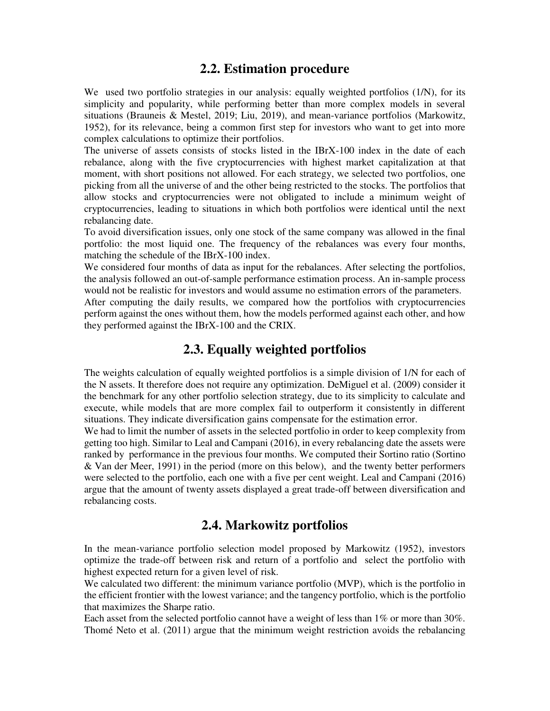# **2.2. Estimation procedure**

We used two portfolio strategies in our analysis: equally weighted portfolios (1/N), for its simplicity and popularity, while performing better than more complex models in several situations (Brauneis & Mestel, 2019; Liu, 2019), and mean-variance portfolios (Markowitz, 1952), for its relevance, being a common first step for investors who want to get into more complex calculations to optimize their portfolios.

The universe of assets consists of stocks listed in the IBrX-100 index in the date of each rebalance, along with the five cryptocurrencies with highest market capitalization at that moment, with short positions not allowed. For each strategy, we selected two portfolios, one picking from all the universe of and the other being restricted to the stocks. The portfolios that allow stocks and cryptocurrencies were not obligated to include a minimum weight of cryptocurrencies, leading to situations in which both portfolios were identical until the next rebalancing date.

To avoid diversification issues, only one stock of the same company was allowed in the final portfolio: the most liquid one. The frequency of the rebalances was every four months, matching the schedule of the IBrX-100 index.

We considered four months of data as input for the rebalances. After selecting the portfolios, the analysis followed an out-of-sample performance estimation process. An in-sample process would not be realistic for investors and would assume no estimation errors of the parameters.

After computing the daily results, we compared how the portfolios with cryptocurrencies perform against the ones without them, how the models performed against each other, and how they performed against the IBrX-100 and the CRIX.

# **2.3. Equally weighted portfolios**

The weights calculation of equally weighted portfolios is a simple division of 1/N for each of the N assets. It therefore does not require any optimization. DeMiguel et al. (2009) consider it the benchmark for any other portfolio selection strategy, due to its simplicity to calculate and execute, while models that are more complex fail to outperform it consistently in different situations. They indicate diversification gains compensate for the estimation error.

We had to limit the number of assets in the selected portfolio in order to keep complexity from getting too high. Similar to Leal and Campani (2016), in every rebalancing date the assets were ranked by performance in the previous four months. We computed their Sortino ratio (Sortino & Van der Meer, 1991) in the period (more on this below), and the twenty better performers were selected to the portfolio, each one with a five per cent weight. Leal and Campani (2016) argue that the amount of twenty assets displayed a great trade-off between diversification and rebalancing costs.

# **2.4. Markowitz portfolios**

In the mean-variance portfolio selection model proposed by Markowitz (1952), investors optimize the trade-off between risk and return of a portfolio and select the portfolio with highest expected return for a given level of risk.

We calculated two different: the minimum variance portfolio (MVP), which is the portfolio in the efficient frontier with the lowest variance; and the tangency portfolio, which is the portfolio that maximizes the Sharpe ratio.

Each asset from the selected portfolio cannot have a weight of less than 1% or more than 30%. Thomé Neto et al. (2011) argue that the minimum weight restriction avoids the rebalancing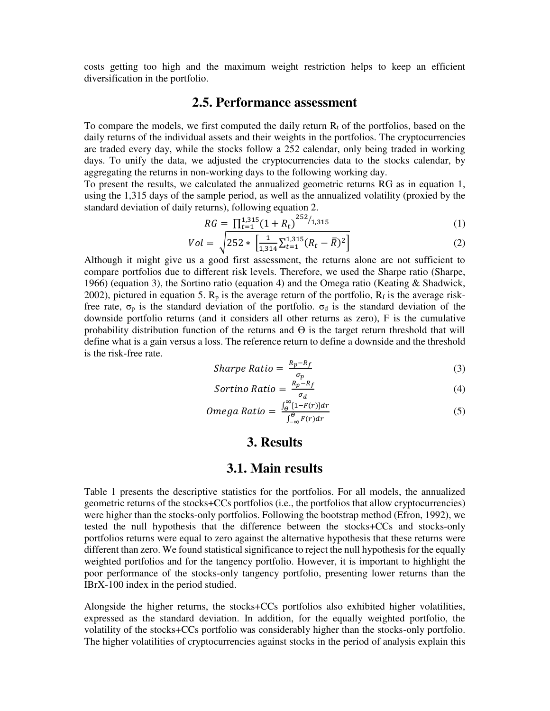costs getting too high and the maximum weight restriction helps to keep an efficient diversification in the portfolio.

## **2.5. Performance assessment**

To compare the models, we first computed the daily return  $R_t$  of the portfolios, based on the daily returns of the individual assets and their weights in the portfolios. The cryptocurrencies are traded every day, while the stocks follow a 252 calendar, only being traded in working days. To unify the data, we adjusted the cryptocurrencies data to the stocks calendar, by aggregating the returns in non-working days to the following working day.

To present the results, we calculated the annualized geometric returns RG as in equation 1, using the 1,315 days of the sample period, as well as the annualized volatility (proxied by the standard deviation of daily returns), following equation 2.

$$
RG = \prod_{t=1}^{1,315} (1 + R_t)^{252/1,315}
$$
 (1)

$$
Vol = \sqrt{252 \cdot \left[ \frac{1}{1,314} \sum_{t=1}^{1,315} (R_t - \bar{R})^2 \right]}
$$
 (2)

Although it might give us a good first assessment, the returns alone are not sufficient to compare portfolios due to different risk levels. Therefore, we used the Sharpe ratio (Sharpe, 1966) (equation 3), the Sortino ratio (equation 4) and the Omega ratio (Keating & Shadwick, 2002), pictured in equation 5.  $R_p$  is the average return of the portfolio,  $R_f$  is the average riskfree rate,  $\sigma_p$  is the standard deviation of the portfolio.  $\sigma_d$  is the standard deviation of the downside portfolio returns (and it considers all other returns as zero), F is the cumulative probability distribution function of the returns and  $\Theta$  is the target return threshold that will define what is a gain versus a loss. The reference return to define a downside and the threshold is the risk-free rate.

*Sharpe Ratio* = 
$$
\frac{R_p - R_f}{\sigma_p}
$$
 (3)

$$
Sortino Ratio = \frac{R_p - R_f}{\sigma_d} \tag{4}
$$

$$
Omega Ratio = \frac{\int_{\Theta}^{\infty} [1 - F(r)] dr}{\int_{-\infty}^{\Theta} F(r) dr}
$$
 (5)

## **3. Results**

#### **3.1. Main results**

Table 1 presents the descriptive statistics for the portfolios. For all models, the annualized geometric returns of the stocks+CCs portfolios (i.e., the portfolios that allow cryptocurrencies) were higher than the stocks-only portfolios. Following the bootstrap method (Efron, 1992), we tested the null hypothesis that the difference between the stocks+CCs and stocks-only portfolios returns were equal to zero against the alternative hypothesis that these returns were different than zero. We found statistical significance to reject the null hypothesis for the equally weighted portfolios and for the tangency portfolio. However, it is important to highlight the poor performance of the stocks-only tangency portfolio, presenting lower returns than the IBrX-100 index in the period studied.

Alongside the higher returns, the stocks+CCs portfolios also exhibited higher volatilities, expressed as the standard deviation. In addition, for the equally weighted portfolio, the volatility of the stocks+CCs portfolio was considerably higher than the stocks-only portfolio. The higher volatilities of cryptocurrencies against stocks in the period of analysis explain this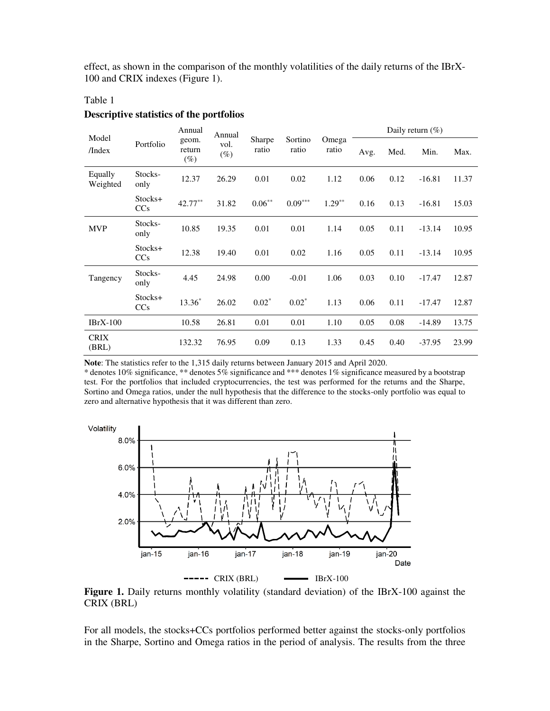effect, as shown in the comparison of the monthly volatilities of the daily returns of the IBrX-100 and CRIX indexes (Figure 1).

#### Table 1

#### **Descriptive statistics of the portfolios**

|                      | Portfolio       | Annual<br>geom.<br>return<br>$(\%)$ | Annual<br>vol.<br>$(\%)$ |                 |                  |                | Daily return $(\% )$ |      |          |       |  |
|----------------------|-----------------|-------------------------------------|--------------------------|-----------------|------------------|----------------|----------------------|------|----------|-------|--|
| Model<br>/Index      |                 |                                     |                          | Sharpe<br>ratio | Sortino<br>ratio | Omega<br>ratio | Avg.                 | Med. | Min.     | Max.  |  |
| Equally<br>Weighted  | Stocks-<br>only | 12.37                               | 26.29                    | 0.01            | 0.02             | 1.12           | 0.06                 | 0.12 | $-16.81$ | 11.37 |  |
|                      | Stocks+<br>CCs  | 42.77**                             | 31.82                    | $0.06**$        | $0.09***$        | $1.29**$       | 0.16                 | 0.13 | $-16.81$ | 15.03 |  |
| <b>MVP</b>           | Stocks-<br>only | 10.85                               | 19.35                    | 0.01            | 0.01             | 1.14           | 0.05                 | 0.11 | $-13.14$ | 10.95 |  |
|                      | Stocks+<br>CCs  | 12.38                               | 19.40                    | 0.01            | 0.02             | 1.16           | 0.05                 | 0.11 | $-13.14$ | 10.95 |  |
| Tangency             | Stocks-<br>only | 4.45                                | 24.98                    | 0.00            | $-0.01$          | 1.06           | 0.03                 | 0.10 | $-17.47$ | 12.87 |  |
|                      | Stocks+<br>CCs  | 13.36*                              | 26.02                    | $0.02*$         | $0.02*$          | 1.13           | 0.06                 | 0.11 | $-17.47$ | 12.87 |  |
| $IBrX-100$           |                 | 10.58                               | 26.81                    | 0.01            | 0.01             | 1.10           | 0.05                 | 0.08 | $-14.89$ | 13.75 |  |
| <b>CRIX</b><br>(BRL) |                 | 132.32                              | 76.95                    | 0.09            | 0.13             | 1.33           | 0.45                 | 0.40 | $-37.95$ | 23.99 |  |

**Note**: The statistics refer to the 1,315 daily returns between January 2015 and April 2020.

\* denotes 10% significance, \*\* denotes 5% significance and \*\*\* denotes 1% significance measured by a bootstrap test. For the portfolios that included cryptocurrencies, the test was performed for the returns and the Sharpe, Sortino and Omega ratios, under the null hypothesis that the difference to the stocks-only portfolio was equal to zero and alternative hypothesis that it was different than zero.



Figure 1. Daily returns monthly volatility (standard deviation) of the IBrX-100 against the CRIX (BRL)

For all models, the stocks+CCs portfolios performed better against the stocks-only portfolios in the Sharpe, Sortino and Omega ratios in the period of analysis. The results from the three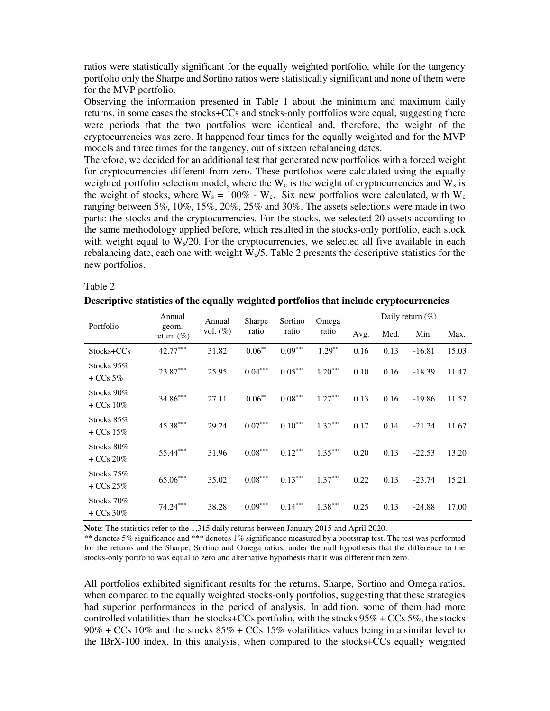ratios were statistically significant for the equally weighted portfolio, while for the tangency portfolio only the Sharpe and Sortino ratios were statistically significant and none of them were for the MVP portfolio.

Observing the information presented in Table 1 about the minimum and maximum daily returns, in some cases the stocks+CCs and stocks-only portfolios were equal, suggesting there were periods that the two portfolios were identical and, therefore, the weight of the cryptocurrencies was zero. It happened four times for the equally weighted and for the MVP models and three times for the tangency, out of sixteen rebalancing dates.

Therefore, we decided for an additional test that generated new portfolios with a forced weight for cryptocurrencies different from zero. These portfolios were calculated using the equally weighted portfolio selection model, where the  $W_c$  is the weight of cryptocurrencies and  $W_s$  is the weight of stocks, where  $W_s = 100\%$  - W<sub>c</sub>. Six new portfolios were calculated, with W<sub>c</sub> ranging between 5%, 10%, 15%, 20%, 25% and 30%. The assets selections were made in two parts: the stocks and the cryptocurrencies. For the stocks, we selected 20 assets according to the same methodology applied before, which resulted in the stocks-only portfolio, each stock with weight equal to  $W_s/20$ . For the cryptocurrencies, we selected all five available in each rebalancing date, each one with weight  $W<sub>c</sub>/5$ . Table 2 presents the descriptive statistics for the new portfolios.

Table 2

|           | Descriptive statistics of the equally weighted portfolios that include cryptocurrencies |             |                        |                  |                |                      |      |      |     |
|-----------|-----------------------------------------------------------------------------------------|-------------|------------------------|------------------|----------------|----------------------|------|------|-----|
|           | Annual                                                                                  | Annual      | <b>Sharpe</b><br>ratio | Sortino<br>ratio | Omega<br>ratio | Daily return $(\% )$ |      |      |     |
| Portfolio | geom.<br>return $(\% )$                                                                 | vol. $(\%)$ |                        |                  |                | Avg.                 | Med. | Min. | Max |
|           |                                                                                         |             |                        |                  |                |                      |      |      |     |

|                            |                         | Annual      | <b>Sharpe</b> | Sortino   | Omega     |      |      |          |       |  |
|----------------------------|-------------------------|-------------|---------------|-----------|-----------|------|------|----------|-------|--|
| Portfolio                  | geom.<br>return $(\% )$ | vol. $(\%)$ | ratio         | ratio     | ratio     | Avg. | Med. | Min.     | Max.  |  |
| Stocks+CCs                 | 42.77***                | 31.82       | $0.06***$     | $0.09***$ | $1.29***$ | 0.16 | 0.13 | $-16.81$ | 15.03 |  |
| Stocks $95\%$<br>$+CCs$ 5% | $23.87***$              | 25.95       | $0.04***$     | $0.05***$ | $1.20***$ | 0.10 | 0.16 | $-18.39$ | 11.47 |  |
| Stocks 90%<br>$+CCs10\%$   | 34.86***                | 27.11       | $0.06***$     | $0.08***$ | $1.27***$ | 0.13 | 0.16 | $-19.86$ | 11.57 |  |
| Stocks $85\%$<br>$+CCs15%$ | 45.38***                | 29.24       | $0.07***$     | $0.10***$ | $1.32***$ | 0.17 | 0.14 | $-21.24$ | 11.67 |  |
| Stocks 80%<br>$+CCs 20%$   | 55.44***                | 31.96       | $0.08***$     | $0.12***$ | $1.35***$ | 0.20 | 0.13 | $-22.53$ | 13.20 |  |
| Stocks 75%<br>$+CCs 25%$   | $65.06***$              | 35.02       | $0.08***$     | $0.13***$ | $1.37***$ | 0.22 | 0.13 | $-23.74$ | 15.21 |  |
| Stocks 70%<br>$+CCs$ 30%   | $74.24***$              | 38.28       | $0.09***$     | $0.14***$ | $1.38***$ | 0.25 | 0.13 | $-24.88$ | 17.00 |  |

**Note**: The statistics refer to the 1,315 daily returns between January 2015 and April 2020.

\*\* denotes 5% significance and \*\*\* denotes 1% significance measured by a bootstrap test. The test was performed for the returns and the Sharpe, Sortino and Omega ratios, under the null hypothesis that the difference to the stocks-only portfolio was equal to zero and alternative hypothesis that it was different than zero.

All portfolios exhibited significant results for the returns, Sharpe, Sortino and Omega ratios, when compared to the equally weighted stocks-only portfolios, suggesting that these strategies had superior performances in the period of analysis. In addition, some of them had more controlled volatilities than the stocks+CCs portfolio, with the stocks  $95\%$  + CCs  $5\%$ , the stocks  $90\%$  + CCs 10% and the stocks  $85\%$  + CCs 15% volatilities values being in a similar level to the IBrX-100 index. In this analysis, when compared to the stocks+CCs equally weighted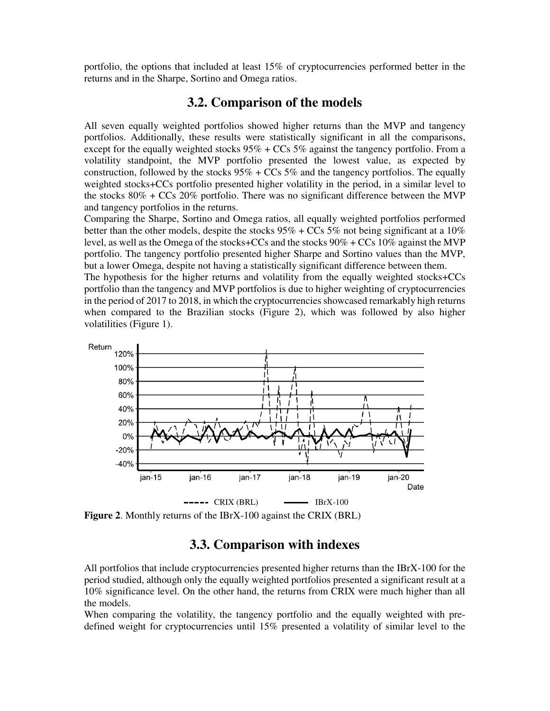portfolio, the options that included at least 15% of cryptocurrencies performed better in the returns and in the Sharpe, Sortino and Omega ratios.

### **3.2. Comparison of the models**

All seven equally weighted portfolios showed higher returns than the MVP and tangency portfolios. Additionally, these results were statistically significant in all the comparisons, except for the equally weighted stocks  $95\%$  + CCs  $5\%$  against the tangency portfolio. From a volatility standpoint, the MVP portfolio presented the lowest value, as expected by construction, followed by the stocks  $95\%$  + CCs  $5\%$  and the tangency portfolios. The equally weighted stocks+CCs portfolio presented higher volatility in the period, in a similar level to the stocks  $80\%$  + CCs  $20\%$  portfolio. There was no significant difference between the MVP and tangency portfolios in the returns.

Comparing the Sharpe, Sortino and Omega ratios, all equally weighted portfolios performed better than the other models, despite the stocks  $95\%$  + CCs  $5\%$  not being significant at a  $10\%$ level, as well as the Omega of the stocks+CCs and the stocks 90% + CCs 10% against the MVP portfolio. The tangency portfolio presented higher Sharpe and Sortino values than the MVP, but a lower Omega, despite not having a statistically significant difference between them.

The hypothesis for the higher returns and volatility from the equally weighted stocks+CCs portfolio than the tangency and MVP portfolios is due to higher weighting of cryptocurrencies in the period of 2017 to 2018, in which the cryptocurrencies showcased remarkably high returns when compared to the Brazilian stocks (Figure 2), which was followed by also higher volatilities (Figure 1).



**Figure 2**. Monthly returns of the IBrX-100 against the CRIX (BRL)

# **3.3. Comparison with indexes**

All portfolios that include cryptocurrencies presented higher returns than the IBrX-100 for the period studied, although only the equally weighted portfolios presented a significant result at a 10% significance level. On the other hand, the returns from CRIX were much higher than all the models.

When comparing the volatility, the tangency portfolio and the equally weighted with predefined weight for cryptocurrencies until 15% presented a volatility of similar level to the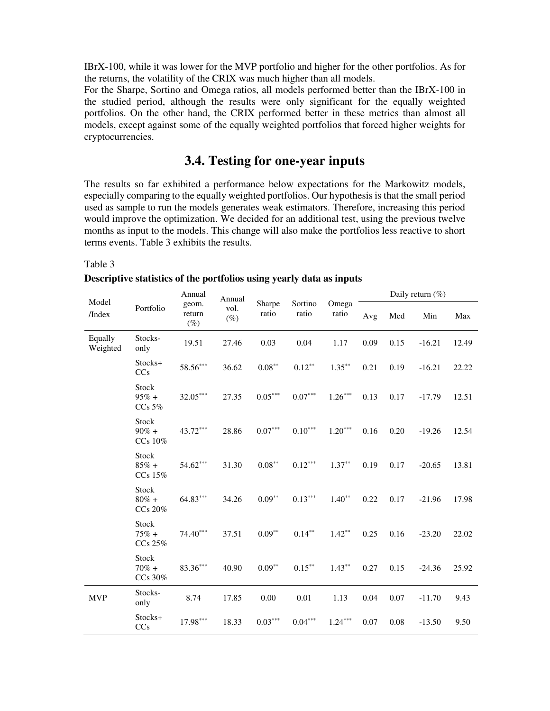IBrX-100, while it was lower for the MVP portfolio and higher for the other portfolios. As for the returns, the volatility of the CRIX was much higher than all models.

For the Sharpe, Sortino and Omega ratios, all models performed better than the IBrX-100 in the studied period, although the results were only significant for the equally weighted portfolios. On the other hand, the CRIX performed better in these metrics than almost all models, except against some of the equally weighted portfolios that forced higher weights for cryptocurrencies.

# **3.4. Testing for one-year inputs**

The results so far exhibited a performance below expectations for the Markowitz models, especially comparing to the equally weighted portfolios. Our hypothesis is that the small period used as sample to run the models generates weak estimators. Therefore, increasing this period would improve the optimization. We decided for an additional test, using the previous twelve months as input to the models. This change will also make the portfolios less reactive to short terms events. Table 3 exhibits the results.

#### Table 3

#### **Descriptive statistics of the portfolios using yearly data as inputs**

| Model<br>/Index     | Portfolio                           | Annual<br>geom.<br>return<br>$(\%)$ | Annual<br>vol.<br>$(\%)$ | Sharpe<br>ratio       | Sortino<br>ratio      | Omega<br>ratio | Daily return $(\% )$ |      |          |       |  |
|---------------------|-------------------------------------|-------------------------------------|--------------------------|-----------------------|-----------------------|----------------|----------------------|------|----------|-------|--|
|                     |                                     |                                     |                          |                       |                       |                | Avg                  | Med  | Min      | Max   |  |
| Equally<br>Weighted | Stocks-<br>only                     | 19.51                               | 27.46                    | 0.03                  | 0.04                  | 1.17           | 0.09                 | 0.15 | $-16.21$ | 12.49 |  |
|                     | Stocks+<br>CCs                      | 58.56***                            | 36.62                    | $0.08^{\ast\ast}$     | $0.12***$             | $1.35***$      | 0.21                 | 0.19 | $-16.21$ | 22.22 |  |
|                     | <b>Stock</b><br>$95% +$<br>$CCs$ 5% | $32.05***$                          | 27.35                    | $0.05^{\ast\ast\ast}$ | $0.07^{\ast\ast\ast}$ | $1.26***$      | 0.13                 | 0.17 | $-17.79$ | 12.51 |  |
|                     | Stock<br>$90\% +$<br>CCs 10%        | 43.72***                            | 28.86                    | $0.07^{\ast\ast\ast}$ | $0.10^{\ast\ast\ast}$ | $1.20***$      | 0.16                 | 0.20 | $-19.26$ | 12.54 |  |
|                     | Stock<br>$85% +$<br>CCs 15%         | $54.62***$                          | 31.30                    | $0.08^{\ast\ast}$     | $0.12***$             | $1.37***$      | 0.19                 | 0.17 | $-20.65$ | 13.81 |  |
|                     | Stock<br>$80\% +$<br>CCs 20%        | $64.83***$                          | 34.26                    | $0.09**$              | $0.13***$             | $1.40**$       | 0.22                 | 0.17 | $-21.96$ | 17.98 |  |
|                     | Stock<br>$75% +$<br>CCs 25%         | $74.40***$                          | 37.51                    | $0.09^{\ast\ast}$     | $0.14***$             | $1.42**$       | 0.25                 | 0.16 | $-23.20$ | 22.02 |  |
|                     | Stock<br>$70\% +$<br>CCs 30%        | $83.36***$                          | 40.90                    | $0.09***$             | $0.15***$             | $1.43***$      | 0.27                 | 0.15 | $-24.36$ | 25.92 |  |
| <b>MVP</b>          | Stocks-<br>only                     | 8.74                                | 17.85                    | 0.00                  | 0.01                  | 1.13           | 0.04                 | 0.07 | $-11.70$ | 9.43  |  |
|                     | Stocks+<br>CCs                      | $17.98^{\ast\ast\ast}$              | 18.33                    | $0.03***$             | $0.04***$             | $1.24***$      | 0.07                 | 0.08 | $-13.50$ | 9.50  |  |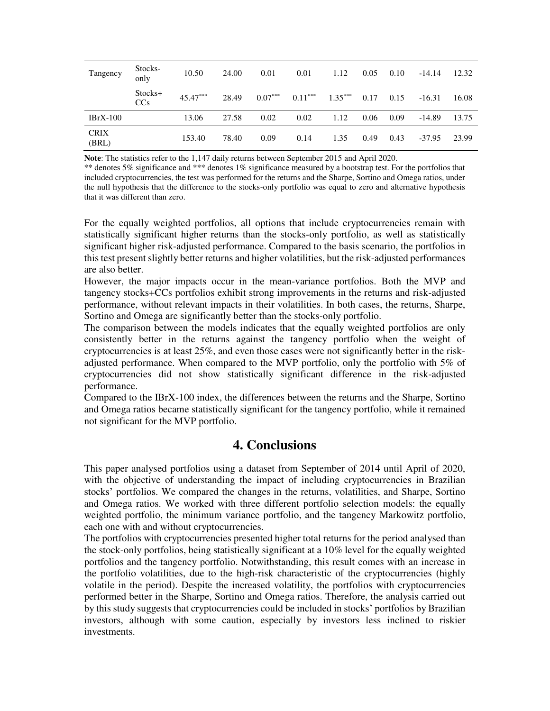| Tangency             | Stocks-<br>only | 10.50      | 24.00 | 0.01      | 0.01      | 1.12      | 0.05 | 0.10 | $-14.14$ | 12.32 |
|----------------------|-----------------|------------|-------|-----------|-----------|-----------|------|------|----------|-------|
|                      | Stocks+<br>CCs  | $45.47***$ | 28.49 | $0.07***$ | $0.11***$ | $1.35***$ | 0.17 | 0.15 | $-16.31$ | 16.08 |
| $IBrX-100$           |                 | 13.06      | 27.58 | 0.02      | 0.02      | 1.12      | 0.06 | 0.09 | $-14.89$ | 13.75 |
| <b>CRIX</b><br>(BRL) |                 | 153.40     | 78.40 | 0.09      | 0.14      | 1.35      | 0.49 | 0.43 | $-37.95$ | 23.99 |

**Note**: The statistics refer to the 1,147 daily returns between September 2015 and April 2020.

\*\* denotes 5% significance and \*\*\* denotes 1% significance measured by a bootstrap test. For the portfolios that included cryptocurrencies, the test was performed for the returns and the Sharpe, Sortino and Omega ratios, under the null hypothesis that the difference to the stocks-only portfolio was equal to zero and alternative hypothesis that it was different than zero.

For the equally weighted portfolios, all options that include cryptocurrencies remain with statistically significant higher returns than the stocks-only portfolio, as well as statistically significant higher risk-adjusted performance. Compared to the basis scenario, the portfolios in this test present slightly better returns and higher volatilities, but the risk-adjusted performances are also better.

However, the major impacts occur in the mean-variance portfolios. Both the MVP and tangency stocks+CCs portfolios exhibit strong improvements in the returns and risk-adjusted performance, without relevant impacts in their volatilities. In both cases, the returns, Sharpe, Sortino and Omega are significantly better than the stocks-only portfolio.

The comparison between the models indicates that the equally weighted portfolios are only consistently better in the returns against the tangency portfolio when the weight of cryptocurrencies is at least 25%, and even those cases were not significantly better in the riskadjusted performance. When compared to the MVP portfolio, only the portfolio with 5% of cryptocurrencies did not show statistically significant difference in the risk-adjusted performance.

Compared to the IBrX-100 index, the differences between the returns and the Sharpe, Sortino and Omega ratios became statistically significant for the tangency portfolio, while it remained not significant for the MVP portfolio.

## **4. Conclusions**

This paper analysed portfolios using a dataset from September of 2014 until April of 2020, with the objective of understanding the impact of including cryptocurrencies in Brazilian stocks' portfolios. We compared the changes in the returns, volatilities, and Sharpe, Sortino and Omega ratios. We worked with three different portfolio selection models: the equally weighted portfolio, the minimum variance portfolio, and the tangency Markowitz portfolio, each one with and without cryptocurrencies.

The portfolios with cryptocurrencies presented higher total returns for the period analysed than the stock-only portfolios, being statistically significant at a 10% level for the equally weighted portfolios and the tangency portfolio. Notwithstanding, this result comes with an increase in the portfolio volatilities, due to the high-risk characteristic of the cryptocurrencies (highly volatile in the period). Despite the increased volatility, the portfolios with cryptocurrencies performed better in the Sharpe, Sortino and Omega ratios. Therefore, the analysis carried out by this study suggests that cryptocurrencies could be included in stocks' portfolios by Brazilian investors, although with some caution, especially by investors less inclined to riskier investments.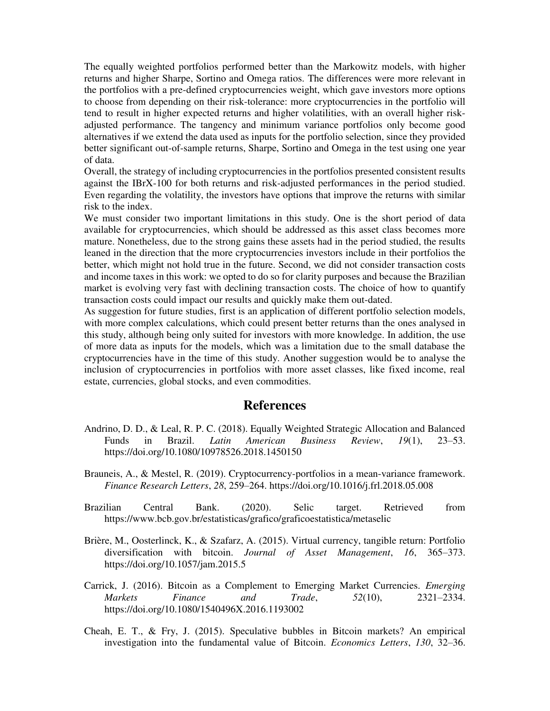The equally weighted portfolios performed better than the Markowitz models, with higher returns and higher Sharpe, Sortino and Omega ratios. The differences were more relevant in the portfolios with a pre-defined cryptocurrencies weight, which gave investors more options to choose from depending on their risk-tolerance: more cryptocurrencies in the portfolio will tend to result in higher expected returns and higher volatilities, with an overall higher riskadjusted performance. The tangency and minimum variance portfolios only become good alternatives if we extend the data used as inputs for the portfolio selection, since they provided better significant out-of-sample returns, Sharpe, Sortino and Omega in the test using one year of data.

Overall, the strategy of including cryptocurrencies in the portfolios presented consistent results against the IBrX-100 for both returns and risk-adjusted performances in the period studied. Even regarding the volatility, the investors have options that improve the returns with similar risk to the index.

We must consider two important limitations in this study. One is the short period of data available for cryptocurrencies, which should be addressed as this asset class becomes more mature. Nonetheless, due to the strong gains these assets had in the period studied, the results leaned in the direction that the more cryptocurrencies investors include in their portfolios the better, which might not hold true in the future. Second, we did not consider transaction costs and income taxes in this work: we opted to do so for clarity purposes and because the Brazilian market is evolving very fast with declining transaction costs. The choice of how to quantify transaction costs could impact our results and quickly make them out-dated.

As suggestion for future studies, first is an application of different portfolio selection models, with more complex calculations, which could present better returns than the ones analysed in this study, although being only suited for investors with more knowledge. In addition, the use of more data as inputs for the models, which was a limitation due to the small database the cryptocurrencies have in the time of this study. Another suggestion would be to analyse the inclusion of cryptocurrencies in portfolios with more asset classes, like fixed income, real estate, currencies, global stocks, and even commodities.

#### **References**

- Andrino, D. D., & Leal, R. P. C. (2018). Equally Weighted Strategic Allocation and Balanced Funds in Brazil. *Latin American Business Review*, *19*(1), 23–53. https://doi.org/10.1080/10978526.2018.1450150
- Brauneis, A., & Mestel, R. (2019). Cryptocurrency-portfolios in a mean-variance framework. *Finance Research Letters*, *28*, 259–264. https://doi.org/10.1016/j.frl.2018.05.008
- Brazilian Central Bank. (2020). Selic target. Retrieved from https://www.bcb.gov.br/estatisticas/grafico/graficoestatistica/metaselic
- Brière, M., Oosterlinck, K., & Szafarz, A. (2015). Virtual currency, tangible return: Portfolio diversification with bitcoin. *Journal of Asset Management*, *16*, 365–373. https://doi.org/10.1057/jam.2015.5
- Carrick, J. (2016). Bitcoin as a Complement to Emerging Market Currencies. *Emerging Markets Finance and Trade*, *52*(10), 2321–2334. https://doi.org/10.1080/1540496X.2016.1193002
- Cheah, E. T., & Fry, J. (2015). Speculative bubbles in Bitcoin markets? An empirical investigation into the fundamental value of Bitcoin. *Economics Letters*, *130*, 32–36.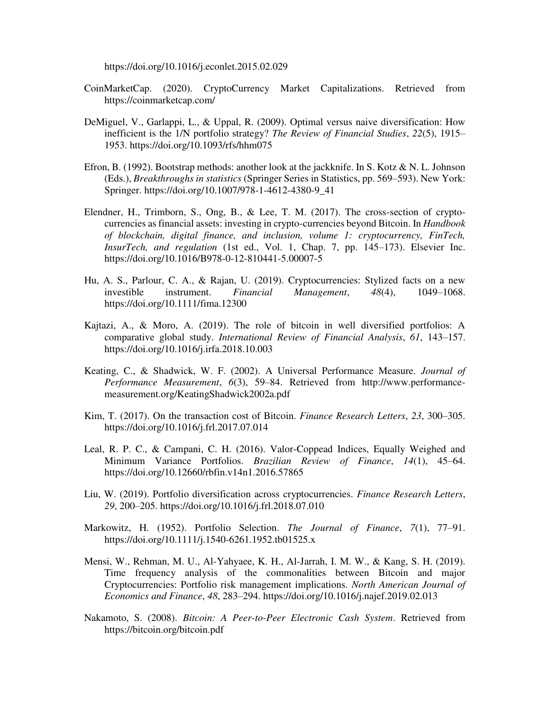https://doi.org/10.1016/j.econlet.2015.02.029

- CoinMarketCap. (2020). CryptoCurrency Market Capitalizations. Retrieved from https://coinmarketcap.com/
- DeMiguel, V., Garlappi, L., & Uppal, R. (2009). Optimal versus naive diversification: How inefficient is the 1/N portfolio strategy? *The Review of Financial Studies*, *22*(5), 1915– 1953. https://doi.org/10.1093/rfs/hhm075
- Efron, B. (1992). Bootstrap methods: another look at the jackknife. In S. Kotz & N. L. Johnson (Eds.), *Breakthroughs in statistics* (Springer Series in Statistics, pp. 569–593). New York: Springer. https://doi.org/10.1007/978-1-4612-4380-9\_41
- Elendner, H., Trimborn, S., Ong, B., & Lee, T. M. (2017). The cross-section of cryptocurrencies as financial assets: investing in crypto-currencies beyond Bitcoin. In *Handbook of blockchain, digital finance, and inclusion, volume 1: cryptocurrency, FinTech, InsurTech, and regulation* (1st ed., Vol. 1, Chap. 7, pp. 145–173). Elsevier Inc. https://doi.org/10.1016/B978-0-12-810441-5.00007-5
- Hu, A. S., Parlour, C. A., & Rajan, U. (2019). Cryptocurrencies: Stylized facts on a new investible instrument. *Financial Management*, *48*(4), 1049–1068. https://doi.org/10.1111/fima.12300
- Kajtazi, A., & Moro, A. (2019). The role of bitcoin in well diversified portfolios: A comparative global study. *International Review of Financial Analysis*, *61*, 143–157. https://doi.org/10.1016/j.irfa.2018.10.003
- Keating, C., & Shadwick, W. F. (2002). A Universal Performance Measure. *Journal of Performance Measurement*, *6*(3), 59–84. Retrieved from http://www.performancemeasurement.org/KeatingShadwick2002a.pdf
- Kim, T. (2017). On the transaction cost of Bitcoin. *Finance Research Letters*, *23*, 300–305. https://doi.org/10.1016/j.frl.2017.07.014
- Leal, R. P. C., & Campani, C. H. (2016). Valor-Coppead Indices, Equally Weighed and Minimum Variance Portfolios. *Brazilian Review of Finance*, *14*(1), 45–64. https://doi.org/10.12660/rbfin.v14n1.2016.57865
- Liu, W. (2019). Portfolio diversification across cryptocurrencies. *Finance Research Letters*, *29*, 200–205. https://doi.org/10.1016/j.frl.2018.07.010
- Markowitz, H. (1952). Portfolio Selection. *The Journal of Finance*, *7*(1), 77–91. https://doi.org/10.1111/j.1540-6261.1952.tb01525.x
- Mensi, W., Rehman, M. U., Al-Yahyaee, K. H., Al-Jarrah, I. M. W., & Kang, S. H. (2019). Time frequency analysis of the commonalities between Bitcoin and major Cryptocurrencies: Portfolio risk management implications. *North American Journal of Economics and Finance*, *48*, 283–294. https://doi.org/10.1016/j.najef.2019.02.013
- Nakamoto, S. (2008). *Bitcoin: A Peer-to-Peer Electronic Cash System*. Retrieved from https://bitcoin.org/bitcoin.pdf